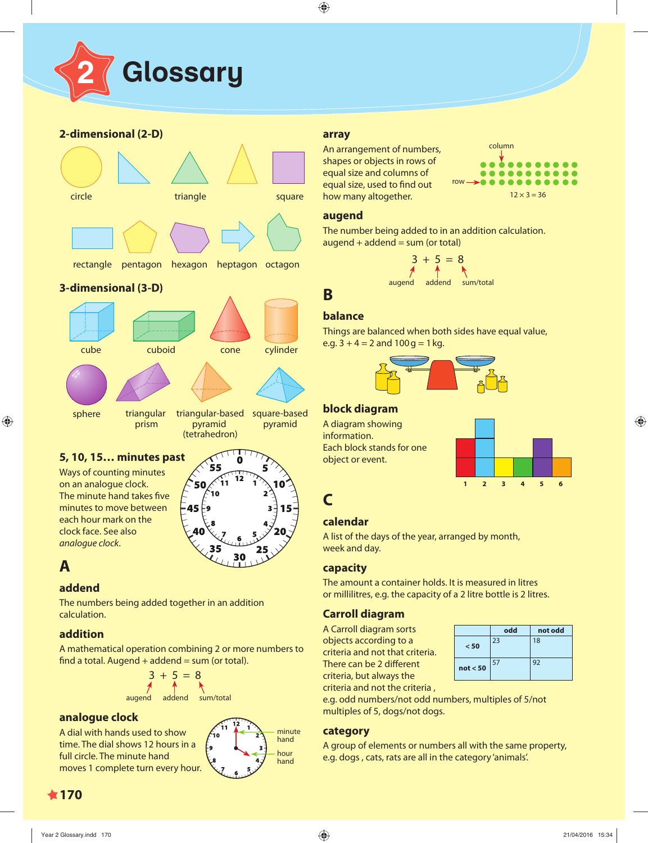

# **2-dimensional (2-D)**



The minute hand takes five minutes to move between each hour mark on the clock face. See also analogue clock.

# 10  $-45$ 30

# **A**

# **addend**

The numbers being added together in an addition calculation.

# **addition**

A mathematical operation combining 2 or more numbers to find a total. Augend  $+$  addend  $=$  sum (or total).

$$
3 + 5 = 8
$$
\n
$$
4 \qquad \qquad \uparrow
$$
\n
$$
2 \qquad \qquad \uparrow
$$
\n
$$
2 \qquad \qquad \downarrow
$$
\n
$$
2 \qquad \qquad \downarrow
$$
\n
$$
2 \qquad \qquad \downarrow
$$
\n
$$
2 \qquad \qquad \downarrow
$$
\n
$$
2 \qquad \qquad \downarrow
$$
\n
$$
2 \qquad \qquad \downarrow
$$
\n
$$
2 \qquad \qquad \downarrow
$$
\n
$$
2 \qquad \qquad \downarrow
$$
\n
$$
2 \qquad \qquad \downarrow
$$
\n
$$
2 \qquad \qquad \downarrow
$$
\n
$$
2 \qquad \qquad \downarrow
$$
\n
$$
2 \qquad \qquad \downarrow
$$
\n
$$
2 \qquad \qquad \downarrow
$$
\n
$$
2 \qquad \qquad \downarrow
$$
\n
$$
2 \qquad \qquad \downarrow
$$
\n
$$
2 \qquad \qquad \downarrow
$$
\n
$$
2 \qquad \qquad \downarrow
$$
\n
$$
2 \qquad \qquad \downarrow
$$
\n
$$
2 \qquad \qquad \downarrow
$$
\n
$$
2 \qquad \qquad \downarrow
$$
\n
$$
2 \qquad \qquad \downarrow
$$
\n
$$
2 \qquad \qquad \downarrow
$$
\n
$$
2 \qquad \qquad \downarrow
$$
\n
$$
2 \qquad \qquad \downarrow
$$
\n
$$
2 \qquad \qquad \downarrow
$$
\n
$$
2 \qquad \qquad \downarrow
$$
\n
$$
2 \qquad \qquad \downarrow
$$
\n
$$
2 \qquad \qquad \downarrow
$$
\n
$$
2 \qquad \qquad \downarrow
$$
\n
$$
2 \qquad \qquad \downarrow
$$
\n
$$
2 \qquad \qquad \downarrow
$$
\n
$$
2 \qquad \qquad \downarrow
$$
\n
$$
2 \qquad \qquad \downarrow
$$
\n
$$
2 \qquad \qquad \downarrow
$$
\n
$$
2 \qquad \qquad \downarrow
$$
\n
$$
2 \
$$

# **analogue clock**

A dial with hands used to show time. The dial shows 12 hours in a full circle. The minute hand moves 1 complete turn every hour.



#### **array**

An arrangement of numbers, shapes or objects in rows of equal size and columns of equal size, used to find out how many altogether.



#### **augend**

The number being added to in an addition calculation.  $augend + addend = sum (or total)$ 

$$
3 + 5 = 8
$$
\n
$$
4 \n
$$
4 \n
$$
4 \n
$$
4 \n
$$
4 \n
$$
4 \n
$$
4 \n
$$
4 \n
$$
4 \n
$$
4 \n
$$
4 \n
$$
4 \n
$$
4 \n
$$
4 \n
$$
4 \n
$$
4 \n
$$
4 \n
$$
4 \n
$$
4 \n
$$
4 \n
$$
4 \n
$$
4 \n
$$
4 \n
$$
4 \n
$$
4 \n
$$
4 \n
$$
4 \n
$$
4 \n
$$
4 \n
$$
4 \n
$$
4 \n
$$
4 \n
$$
4 \n
$$
4 \n
$$
4 \n
$$
4 \n
$$
4 \n
$$
4 \n
$$
4 \n
$$
4 \n
$$
4 \n
$$
4 \n
$$
4 \n
$$
4 \n
$$
4 \n
$$
4 \n
$$
4 \n
$$
4 \n
$$
4 \n
$$
4 \n
$$
4 \n
$$
4 \n
$$
4 \n
$$
4 \n
$$
4 \n
$$
4 \n
$$
4 \n
$$
4 \n
$$
4 \n
$$
4 \n
$$
4 \n
$$
4 \n
$$
4 \n
$$
4 \n
$$
4 \n
$$
4 \n
$$
4 \n
$$
4 \n
$$
4 \n
$$
4 \n
$$
4 \n
$$
4 \n
$$
4 \n
$$
4 \n
$$
4 \n
$$
4 \n
$$
4 \n
$$
4 \n
$$
4 \n
$$
4 \n
$$
4 \n
$$
4 \n
$$
4 \n<
$$
$$
$$
$$
$$
$$
$$
$$
$$
$$
$$
$$
$$
$$
$$
$$
$$
$$
$$
$$
$$
$$
$$
$$
$$
$$
$$
$$
$$
$$
$$
$$
$$
$$
$$
$$
$$
$$
$$
$$
$$
$$
$$
$$
$$
$$
$$
$$
$$
$$
$$
$$
$$
$$
$$
$$
$$
$$
$$
$$
$$
$$
$$
$$
$$
$$
$$
$$
$$
$$
$$
$$
$$
$$
$$
$$
$$
$$
$$
$$
$$
$$
$$

# **balance**

**B**

Things are balanced when both sides have equal value, e.g.  $3 + 4 = 2$  and  $100$  g = 1 kg.



# **block diagram**

A diagram showing information. Each block stands for one object or event.



# **C**

# **calendar**

A list of the days of the year, arranged by month, week and day.

# **capacity**

The amount a container holds. It is measured in litres or millilitres, e.g. the capacity of a 2 litre bottle is 2 litres.

# **Carroll diagram**

A Carroll diagram sorts objects according to a criteria and not that criteria. There can be 2 different criteria, but always the criteria and not the criteria ,

|          | odd | not odd |  |  |  |  |
|----------|-----|---------|--|--|--|--|
| < 50     | 23  | 18      |  |  |  |  |
| not < 50 | 57  | 92      |  |  |  |  |

e.g. odd numbers/not odd numbers, multiples of 5/not multiples of 5, dogs/not dogs.

# **category**

A group of elements or numbers all with the same property, hour e.g. dogs, cats, rats are all in the category 'animals'.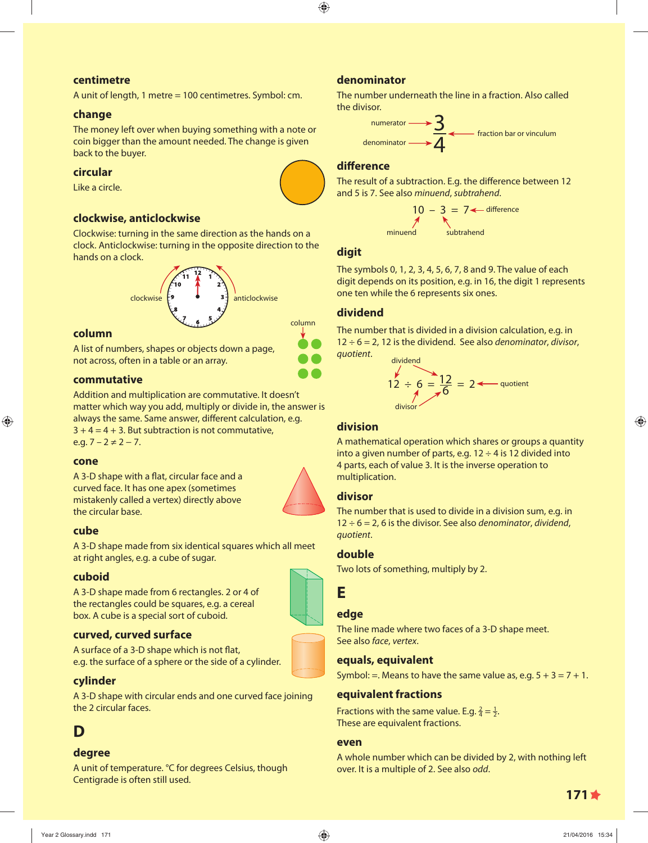### **centimetre**

A unit of length, 1 metre = 100 centimetres. Symbol: cm.

#### **change**

The money left over when buying something with a note or coin bigger than the amount needed. The change is given back to the buyer.

### **circular**

Like a circle.

### **clockwise, anticlockwise**

Clockwise: turning in the same direction as the hands on a clock. Anticlockwise: turning in the opposite direction to the hands on a clock.



#### **column**

A list of numbers, shapes or objects down a page, not across, often in a table or an array.

#### **commutative**

Addition and multiplication are commutative. It doesn't matter which way you add, multiply or divide in, the answer is always the same. Same answer, different calculation, e.g.  $3 + 4 = 4 + 3$ . But subtraction is not commutative, e.g.  $7 - 2 \neq 2 - 7$ .

#### **cone**

A 3-D shape with a flat, circular face and a curved face. It has one apex (sometimes mistakenly called a vertex) directly above the circular base.



#### **cube**

A 3-D shape made from six identical squares which all meet at right angles, e.g. a cube of sugar.

#### **cuboid**

A 3-D shape made from 6 rectangles. 2 or 4 of the rectangles could be squares, e.g. a cereal box. A cube is a special sort of cuboid.

# **curved, curved surface**

A surface of a 3-D shape which is not flat, e.g. the surface of a sphere or the side of a cylinder.

# **cylinder**

A 3-D shape with circular ends and one curved face joining the 2 circular faces.

# **D**

# **degree**

A unit of temperature. °C for degrees Celsius, though Centigrade is often still used.

# **denominator**

The number underneath the line in a fraction. Also called the divisor.

$$
\overbrace{\text{denominator}}^{\text{numerator}} \longrightarrow \frac{3}{4}
$$

#### **diff erence**

The result of a subtraction. E.g. the difference between 12 and 5 is 7. See also minuend, subtrahend.

$$
10 - 3 = 7
$$
 difference  
\n
$$
7
$$
\n
$$
3
$$
\n
$$
3
$$
\n
$$
3
$$
\n
$$
3
$$
\n
$$
3
$$
\n
$$
4
$$
\n
$$
4
$$
\n
$$
5
$$
\n
$$
5
$$
\n
$$
5
$$
\n
$$
6
$$
\n
$$
6
$$
\n
$$
7
$$
\n
$$
8
$$
\n
$$
5
$$
\n
$$
6
$$
\n
$$
7
$$
\n
$$
8
$$
\n
$$
5
$$
\n
$$
6
$$
\n
$$
8
$$
\n
$$
5
$$
\n
$$
6
$$
\n
$$
7
$$
\n
$$
8
$$
\n
$$
7
$$
\n
$$
8
$$
\n
$$
10
$$
\n
$$
10
$$
\n
$$
5
$$
\n
$$
8
$$
\n
$$
10
$$
\n
$$
5
$$
\n
$$
10
$$
\n
$$
5
$$
\n
$$
10
$$
\n
$$
5
$$
\n
$$
10
$$
\n
$$
5
$$
\n
$$
10
$$
\n
$$
10
$$
\n
$$
10
$$
\n
$$
10
$$
\n
$$
10
$$
\n
$$
10
$$
\n
$$
10
$$
\n
$$
10
$$
\n
$$
10
$$
\n
$$
10
$$
\n
$$
10
$$
\n
$$
10
$$
\n
$$
10
$$
\n
$$
10
$$
\n
$$
10
$$
\n
$$
10
$$
\n
$$
10
$$
\n
$$
10
$$
\n
$$
10
$$
\n
$$
10
$$
\n
$$
10
$$
\n
$$
10
$$
\n
$$
10
$$
\n
$$
10
$$
\n
$$
10
$$

#### **digit**

The symbols 0, 1, 2, 3, 4, 5, 6, 7, 8 and 9. The value of each digit depends on its position, e.g. in 16, the digit 1 represents one ten while the 6 represents six ones.

# **dividend**

The number that is divided in a division calculation, e.g. in  $12 \div 6 = 2$ , 12 is the dividend. See also *denominator*, *divisor*, quotient.

dividend  
12 ÷ 6 = 
$$
\frac{12}{6}
$$
 = 2 ~~4~~ quotient  
divisor

#### **division**

A mathematical operation which shares or groups a quantity into a given number of parts, e.g.  $12 \div 4$  is 12 divided into 4 parts, each of value 3. It is the inverse operation to multiplication.

# **divisor**

The number that is used to divide in a division sum, e.g. in  $12 \div 6 = 2$ , 6 is the divisor. See also *denominator*, *dividend*, quotient.

#### **double**

Two lots of something, multiply by 2.

# **E**

### **edge**

The line made where two faces of a 3-D shape meet. See also face, vertex.

#### **equals, equivalent**

Symbol: = Means to have the same value as, e.g.  $5 + 3 = 7 + 1$ .

#### **equivalent fractions**

Fractions with the same value. E.g.  $\frac{2}{4} = \frac{1}{2}$ . These are equivalent fractions.

#### **even**

A whole number which can be divided by 2, with nothing left over. It is a multiple of 2. See also odd.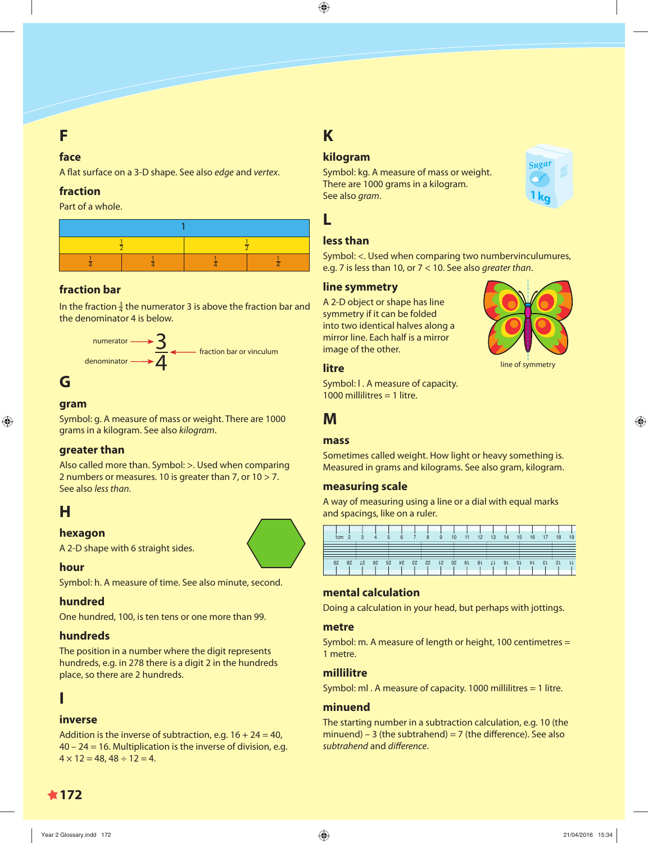# **F**

### **face**

A flat surface on a 3-D shape. See also edge and vertex.

# **fraction**

Part of a whole.



# **fraction bar**

In the fraction  $\frac{3}{4}$  the numerator 3 is above the fraction bar and the denominator 4 is below.



# **G**

# **gram**

Symbol: g. A measure of mass or weight. There are 1000 grams in a kilogram. See also kilogram.

# **greater than**

Also called more than. Symbol: >. Used when comparing 2 numbers or measures. 10 is greater than 7, or 10 > 7. See also less than.

# **H**

# **hexagon**

A 2-D shape with 6 straight sides.

# **hour**

Symbol: h. A measure of time. See also minute, second.

# **hundred**

One hundred, 100, is ten tens or one more than 99.

# **hundreds**

The position in a number where the digit represents hundreds, e.g. in 278 there is a digit 2 in the hundreds place, so there are 2 hundreds.

# **I**

# **inverse**

Addition is the inverse of subtraction, e.g.  $16 + 24 = 40$ , 40 – 24 = 16. Multiplication is the inverse of division, e.g.  $4 \times 12 = 48, 48 \div 12 = 4.$ 

# **K**

**L**

# **kilogram**

Symbol: kg. A measure of mass or weight. There are 1000 grams in a kilogram. See also gram.



line of symmetry

# **less than**

Symbol: <. Used when comparing two numbervinculumures, e.g. 7 is less than 10, or 7 < 10. See also greater than.

# **line symmetry**

A 2-D object or shape has line symmetry if it can be folded into two identical halves along a mirror line. Each half is a mirror image of the other.

# **litre**

Symbol: l . A measure of capacity. 1000 millilitres = 1 litre.

# **M**

# **mass**

Sometimes called weight. How light or heavy something is. Measured in grams and kilograms. See also gram, kilogram.

# **measuring scale**

A way of measuring using a line or a dial with equal marks and spacings, like on a ruler.

| 1cm | - 2 |   | 4    | 5 | - 6 | 89 | 10 | 11 12 13 14 15 16 17 18    |                     |  |  | 19 |
|-----|-----|---|------|---|-----|----|----|----------------------------|---------------------|--|--|----|
|     |     |   |      |   |     |    |    |                            |                     |  |  |    |
|     |     |   |      |   |     |    |    |                            |                     |  |  |    |
| 67  | 58  | Z | - 97 |   |     |    |    | 17 18 19 20 21 22 23 24 25 | $91$ $91$ $11$ $12$ |  |  |    |

# **mental calculation**

Doing a calculation in your head, but perhaps with jottings.

#### **metre**

Symbol: m. A measure of length or height, 100 centimetres = 1 metre.

# **millilitre**

Symbol: ml . A measure of capacity. 1000 millilitres = 1 litre.

# **minuend**

The starting number in a subtraction calculation, e.g. 10 (the minuend) – 3 (the subtrahend) = 7 (the difference). See also subtrahend and difference.

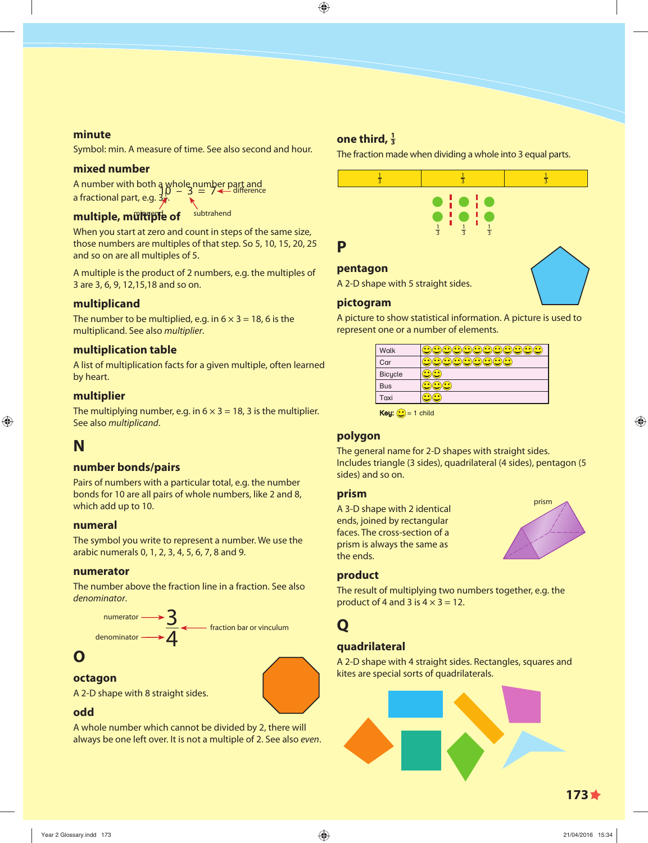#### **minute**

Symbol: min. A measure of time. See also second and hour.

#### **mixed number**

A number with both a whole number part and a fractional part, e.g.  $30 - 3 = 7$  difference

# multiple, multiple of subtrahend

When you start at zero and count in steps of the same size, those numbers are multiples of that step. So 5, 10, 15, 20, 25 and so on are all multiples of 5.

A multiple is the product of 2 numbers, e.g. the multiples of 3 are 3, 6, 9, 12,15,18 and so on.

### **multiplicand**

The number to be multiplied, e.g. in  $6 \times 3 = 18$ , 6 is the multiplicand. See also multiplier.

#### **multiplication table**

A list of multiplication facts for a given multiple, often learned by heart.

### **multiplier**

The multiplying number, e.g. in  $6 \times 3 = 18$ , 3 is the multiplier. See also multiplicand.

# **N**

#### **number bonds/pairs**

Pairs of numbers with a particular total, e.g. the number bonds for 10 are all pairs of whole numbers, like 2 and 8, which add up to 10.

#### **numeral**

The symbol you write to represent a number. We use the arabic numerals 0, 1, 2, 3, 4, 5, 6, 7, 8 and 9.

#### **numerator**

The number above the fraction line in a fraction. See also denominator.



# **O**

#### **octagon**

A 2-D shape with 8 straight sides.

# **odd**

A whole number which cannot be divided by 2, there will always be one left over. It is not a multiple of 2. See also even.

# **one third, <sup>1</sup> 3**

The fraction made when dividing a whole into 3 equal parts.



A 2-D shape with 5 straight sides.

#### **pictogram**

A picture to show statistical information. A picture is used to represent one or a number of elements.

| Walk           |  |
|----------------|--|
| Car            |  |
| <b>Bicycle</b> |  |
| <b>Bus</b>     |  |
| Taxi           |  |
|                |  |

**Key:**  $\bigodot$  = 1 child

#### **polygon**

The general name for 2-D shapes with straight sides. Includes triangle (3 sides), quadrilateral (4 sides), pentagon (5 sides) and so on.

#### **prism**

A 3-D shape with 2 identical ends, joined by rectangular faces. The cross-section of a prism is always the same as the ends.



#### **product**

The result of multiplying two numbers together, e.g. the product of 4 and 3 is  $4 \times 3 = 12$ .

# **Q**

### **quadrilateral**

A 2-D shape with 4 straight sides. Rectangles, squares and kites are special sorts of quadrilaterals.

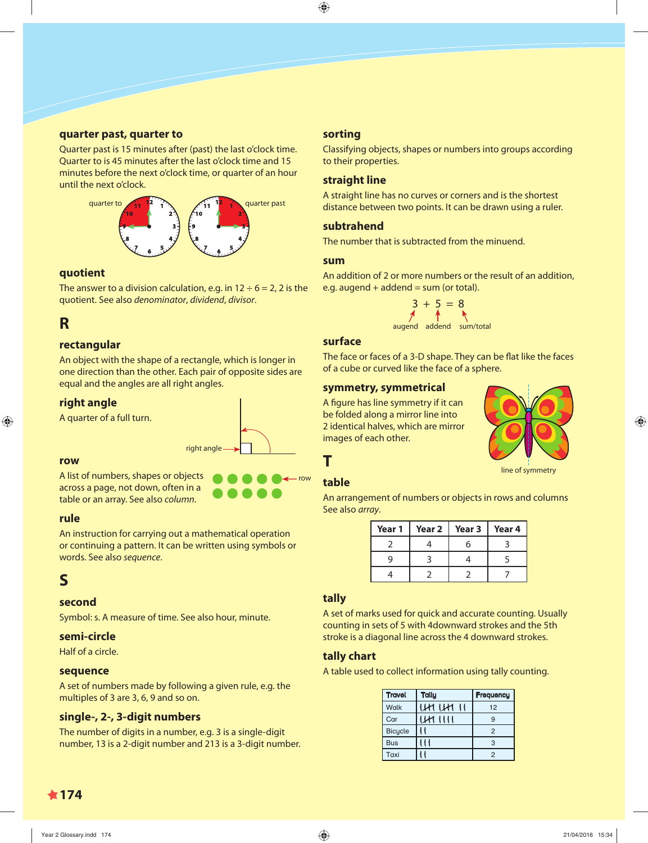#### **quarter past, quarter to**

Quarter past is 15 minutes after (past) the last o'clock time. Quarter to is 45 minutes after the last o'clock time and 15 minutes before the next o'clock time, or quarter of an hour until the next o'clock.



#### **quotient**

The answer to a division calculation, e.g. in  $12 \div 6 = 2$ , 2 is the quotient. See also denominator, dividend, divisor.

# **R**

### **rectangular**

An object with the shape of a rectangle, which is longer in one direction than the other. Each pair of opposite sides are equal and the angles are all right angles.

#### **right angle**

A quarter of a full turn.



#### **row**

A list of numbers, shapes or objects across a page, not down, often in a table or an array. See also column.

#### **rule**

An instruction for carrying out a mathematical operation or continuing a pattern. It can be written using symbols or words. See also sequence.

# **S**

#### **second**

Symbol: s. A measure of time. See also hour, minute.

#### **semi-circle**

Half of a circle.

#### **sequence**

A set of numbers made by following a given rule, e.g. the multiples of 3 are 3, 6, 9 and so on.

#### **single-, 2-, 3-digit numbers**

The number of digits in a number, e.g. 3 is a single-digit number, 13 is a 2-digit number and 213 is a 3-digit number.

#### **sorting**

Classifying objects, shapes or numbers into groups according to their properties.

#### **straight line**

A straight line has no curves or corners and is the shortest distance between two points. It can be drawn using a ruler.

#### **subtrahend**

The number that is subtracted from the minuend.

#### **sum**

An addition of 2 or more numbers or the result of an addition, e.g. augend  $+$  addend  $=$  sum (or total).



#### **surface**

The face or faces of a 3-D shape. They can be flat like the faces of a cube or curved like the face of a sphere.

#### **symmetry, symmetrical**

A figure has line symmetry if it can be folded along a mirror line into 2 identical halves, which are mirror images of each other.



#### line of symmetry

# **table**

**T**

row

An arrangement of numbers or objects in rows and columns See also array.

| Year 1 | Year 2 | Year 3 | Year 4 |
|--------|--------|--------|--------|
|        |        |        |        |
|        |        |        |        |
|        |        |        |        |

#### **tally**

A set of marks used for quick and accurate counting. Usually counting in sets of 5 with 4downward strokes and the 5th stroke is a diagonal line across the 4 downward strokes.

#### **tally chart**

A table used to collect information using tally counting.

| <b>Travel</b>  | <b>Tally</b> | Frequency      |
|----------------|--------------|----------------|
| <b>Walk</b>    |              | 12             |
| Car            | $\mathbf{1}$ | g              |
| <b>Bicycle</b> |              | $\overline{2}$ |
| <b>Bus</b>     |              | 3              |
| Taxi           |              | 2              |